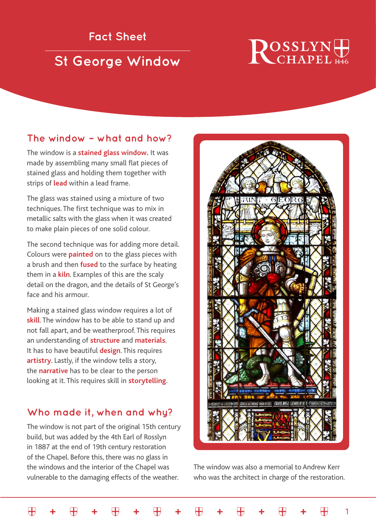## **Fact Sheet**

## **St George Window**

# **ROSSLYN**

#### **The window – what and how?**

The window is a **stained glass window.** It was made by assembling many small flat pieces of stained glass and holding them together with strips of **lead** within a lead frame.

The glass was stained using a mixture of two techniques. The first technique was to mix in metallic salts with the glass when it was created to make plain pieces of one solid colour.

The second technique was for adding more detail. Colours were **painted** on to the glass pieces with a brush and then **fused** to the surface by heating them in a **kiln**. Examples of this are the scaly detail on the dragon, and the details of St George's face and his armour.

Making a stained glass window requires a lot of **skill**. The window has to be able to stand up and not fall apart, and be weatherproof. This requires an understanding of **structure** and **materials**. It has to have beautiful **design**. This requires **artistry**. Lastly, if the window tells a story, the **narrative** has to be clear to the person looking at it. This requires skill in **storytelling**.

#### **Who made it, when and why?**

The window is not part of the original 15th century build, but was added by the 4th Earl of Rosslyn in 1887 at the end of 19th century restoration of the Chapel. Before this, there was no glass in the windows and the interior of the Chapel was vulnerable to the damaging effects of the weather.

 $\bigoplus$ 



The window was also a memorial to Andrew Kerr who was the architect in charge of the restoration.

1